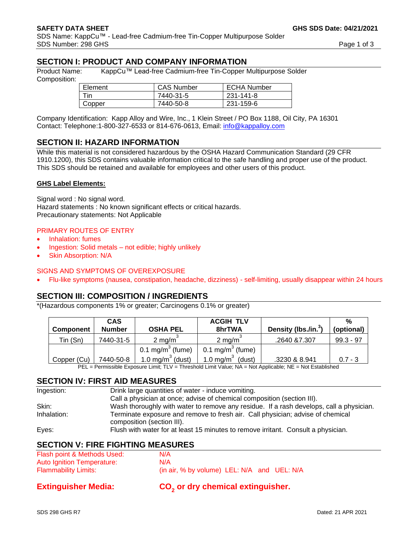# **SECTION I: PRODUCT AND COMPANY INFORMATION**

Product Name: KappCu™ Lead-free Cadmium-free Tin-Copper Multipurpose Solder Composition:

| Element | <b>CAS Number</b> | <b>ECHA Number</b> |
|---------|-------------------|--------------------|
| Tin     | 7440-31-5         | 231-141-8          |
| Copper  | 7440-50-8         | 231-159-6          |

Company Identification: Kapp Alloy and Wire, Inc., 1 Klein Street / PO Box 1188, Oil City, PA 16301 Contact: Telephone:1-800-327-6533 or 814-676-0613, Email: [info@kappalloy.com](mailto:info@kappalloy.com)

### **SECTION II: HAZARD INFORMATION**

While this material is not considered hazardous by the OSHA Hazard Communication Standard (29 CFR 1910.1200), this SDS contains valuable information critical to the safe handling and proper use of the product. This SDS should be retained and available for employees and other users of this product.

#### **GHS Label Elements:**

Signal word : No signal word. Hazard statements : No known significant effects or critical hazards. Precautionary statements: Not Applicable

#### PRIMARY ROUTES OF ENTRY

- Inhalation: fumes
- Ingestion: Solid metals not edible; highly unlikely
- **Skin Absorption: N/A**

#### SIGNS AND SYMPTOMS OF OVEREXPOSURE

• Flu-like symptoms (nausea, constipation, headache, dizziness) - self-limiting, usually disappear within 24 hours

## **SECTION III: COMPOSITION / INGREDIENTS**

\*(Hazardous components 1% or greater; Carcinogens 0.1% or greater)

| <b>Component</b> | <b>CAS</b><br><b>Number</b> | <b>OSHA PEL</b>             | <b>ACGIH TLV</b><br>8hrTWA   | Density (lbs./in. | $\frac{0}{0}$<br>(optional) |
|------------------|-----------------------------|-----------------------------|------------------------------|-------------------|-----------------------------|
| Tin (Sn)         | 7440-31-5                   | $2 \text{ mg/m}$            | $2 \text{ mg/m}$             | .2640 & 7.307     | $99.3 - 97$                 |
|                  |                             | $0.1 \text{ mg/m}^3$ (fume) | 0.1 mg/m <sup>3</sup> (fume) |                   |                             |
| Copper (Cu)      | 7440-50-8                   | 1.0 mg/m $3$ (dust)         | 1.0 mg/m $^3$<br>(dust)      | .3230 & 8.941     | $0.7 - 3$                   |

PEL = Permissible Exposure Limit; TLV = Threshold Limit Value; NA = Not Applicable; NE = Not Established

### **SECTION IV: FIRST AID MEASURES**

| Ingestion:  | Drink large quantities of water - induce vomiting.                                                           |
|-------------|--------------------------------------------------------------------------------------------------------------|
|             | Call a physician at once; advise of chemical composition (section III).                                      |
| Skin:       | Wash thoroughly with water to remove any residue. If a rash develops, call a physician.                      |
| Inhalation: | Terminate exposure and remove to fresh air. Call physician; advise of chemical<br>composition (section III). |
| Eyes:       | Flush with water for at least 15 minutes to remove irritant. Consult a physician.                            |

## **SECTION V: FIRE FIGHTING MEASURES**

| Flash point & Methods Used:       | N/A                                         |
|-----------------------------------|---------------------------------------------|
| <b>Auto Ignition Temperature:</b> | N/A                                         |
| <b>Flammability Limits:</b>       | (in air, % by volume) LEL: N/A and UEL: N/A |
|                                   |                                             |

## **Extinguisher Media:**

**or dry chemical extinguisher.**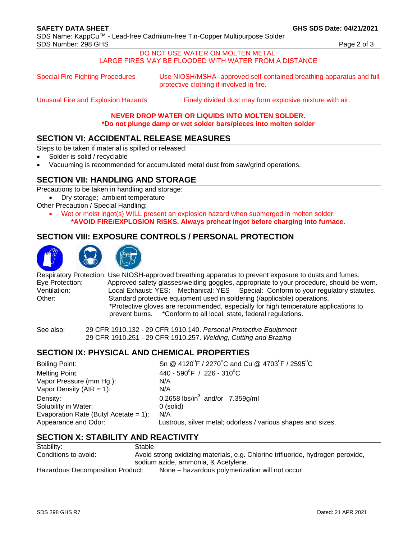#### DO NOT USE WATER ON MOLTEN METAL: LARGE FIRES MAY BE FLOODED WITH WATER FROM A DISTANCE

Special Fire Fighting Procedures Use NIOSH/MSHA -approved self-contained breathing apparatus and full protective clothing if involved in fire.

Unusual Fire and Explosion Hazards **Finely divided dust may form explosive mixture with air.** 

#### **NEVER DROP WATER OR LIQUIDS INTO MOLTEN SOLDER. \*Do not plunge damp or wet solder bars/pieces into molten solder**

# **SECTION VI: ACCIDENTAL RELEASE MEASURES**

Steps to be taken if material is spilled or released:

- Solder is solid / recyclable
- Vacuuming is recommended for accumulated metal dust from saw/grind operations.

# **SECTION VII: HANDLING AND STORAGE**

Precautions to be taken in handling and storage:

• Dry storage; ambient temperature

Other Precaution / Special Handling:

• Wet or moist ingot(s) WILL present an explosion hazard when submerged in molten solder. **\*AVOID FIRE/EXPLOSION RISKS. Always preheat ingot before charging into furnace.**

# **SECTION VIII: EXPOSURE CONTROLS / PERSONAL PROTECTION**



Respiratory Protection: Use NIOSH-approved breathing apparatus to prevent exposure to dusts and fumes. Eye Protection: Approved safety glasses/welding goggles, appropriate to your procedure, should be worn.<br>Ventilation: Local Exhaust: YES: Mechanical: YES Special: Conform to your regulatory statutes. Local Exhaust: YES; Mechanical: YES Special: Conform to your regulatory statutes. Other: Standard protective equipment used in soldering (/applicable) operations. \*Protective gloves are recommended, especially for high temperature applications to prevent burns. \*Conform to all local, state, federal regulations.

See also: 29 CFR 1910.132 - 29 CFR 1910.140. *Personal Protective Equipment* 29 CFR 1910.251 - 29 CFR 1910.257. *Welding, Cutting and Brazing*

# **SECTION IX: PHYSICAL AND CHEMICAL PROPERTIES**

Boiling Point: F / 2270 $^{\circ}$ C and Cu @ 4703 $^{\circ}$ F / 2595 $^{\circ}$ C Melting Point:  $\mathrm{^{\circ}F}$  / 226 - 310 $\mathrm{^{\circ}C}$ Vapor Pressure (mm Hg.): N/A Vapor Density  $(AIR = 1)$ :  $N/A$ Density:  $0.2658$  lbs/in<sup>3</sup> and/or  $7.359$ g/ml Solubility in Water: 0 (solid) Evaporation Rate (Butyl Acetate =  $1$ ): N/A Appearance and Odor: Lustrous, silver metal; odorless / various shapes and sizes.

## **SECTION X: STABILITY AND REACTIVITY**

| Stability:                          | Stable                                                                          |  |  |
|-------------------------------------|---------------------------------------------------------------------------------|--|--|
| Conditions to avoid:                | Avoid strong oxidizing materials, e.g. Chlorine trifluoride, hydrogen peroxide, |  |  |
| sodium azide, ammonia, & Acetylene. |                                                                                 |  |  |
| Hazardous Decomposition Product:    | None – hazardous polymerization will not occur                                  |  |  |